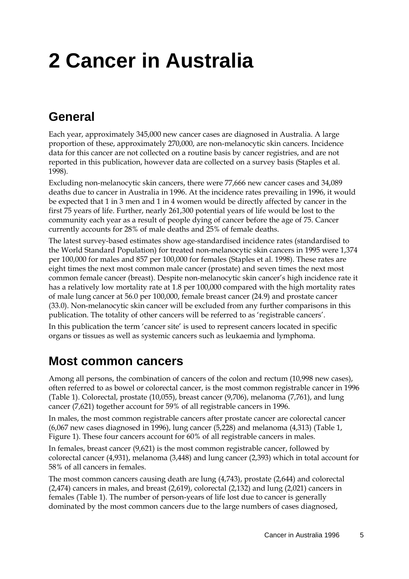# **2 Cancer in Australia**

## **General**

Each year, approximately 345,000 new cancer cases are diagnosed in Australia. A large proportion of these, approximately 270,000, are non-melanocytic skin cancers. Incidence data for this cancer are not collected on a routine basis by cancer registries, and are not reported in this publication, however data are collected on a survey basis (Staples et al. 1998).

Excluding non-melanocytic skin cancers, there were 77,666 new cancer cases and 34,089 deaths due to cancer in Australia in 1996. At the incidence rates prevailing in 1996, it would be expected that 1 in 3 men and 1 in 4 women would be directly affected by cancer in the first 75 years of life. Further, nearly 261,300 potential years of life would be lost to the community each year as a result of people dying of cancer before the age of 75. Cancer currently accounts for 28% of male deaths and 25% of female deaths.

The latest survey-based estimates show age-standardised incidence rates (standardised to the World Standard Population) for treated non-melanocytic skin cancers in 1995 were 1,374 per 100,000 for males and 857 per 100,000 for females (Staples et al. 1998). These rates are eight times the next most common male cancer (prostate) and seven times the next most common female cancer (breast). Despite non-melanocytic skin cancer's high incidence rate it has a relatively low mortality rate at 1.8 per 100,000 compared with the high mortality rates of male lung cancer at 56.0 per 100,000, female breast cancer (24.9) and prostate cancer (33.0). Non-melanocytic skin cancer will be excluded from any further comparisons in this publication. The totality of other cancers will be referred to as 'registrable cancers'.

In this publication the term 'cancer site' is used to represent cancers located in specific organs or tissues as well as systemic cancers such as leukaemia and lymphoma.

### **Most common cancers**

Among all persons, the combination of cancers of the colon and rectum (10,998 new cases), often referred to as bowel or colorectal cancer, is the most common registrable cancer in 1996 (Table 1). Colorectal, prostate (10,055), breast cancer (9,706), melanoma (7,761), and lung cancer (7,621) together account for 59% of all registrable cancers in 1996.

In males, the most common registrable cancers after prostate cancer are colorectal cancer (6,067 new cases diagnosed in 1996), lung cancer (5,228) and melanoma (4,313) (Table 1, Figure 1). These four cancers account for 60% of all registrable cancers in males.

In females, breast cancer (9,621) is the most common registrable cancer, followed by colorectal cancer (4,931), melanoma (3,448) and lung cancer (2,393) which in total account for 58% of all cancers in females.

The most common cancers causing death are lung (4,743), prostate (2,644) and colorectal (2,474) cancers in males, and breast (2,619), colorectal (2,132) and lung (2,021) cancers in females (Table 1). The number of person-years of life lost due to cancer is generally dominated by the most common cancers due to the large numbers of cases diagnosed,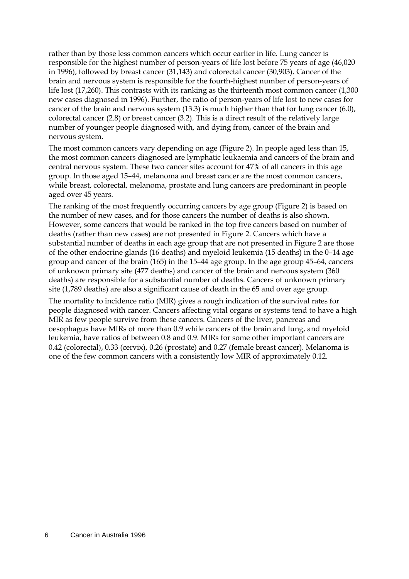rather than by those less common cancers which occur earlier in life. Lung cancer is responsible for the highest number of person-years of life lost before 75 years of age (46,020 in 1996), followed by breast cancer (31,143) and colorectal cancer (30,903). Cancer of the brain and nervous system is responsible for the fourth-highest number of person-years of life lost (17,260). This contrasts with its ranking as the thirteenth most common cancer (1,300 new cases diagnosed in 1996). Further, the ratio of person-years of life lost to new cases for cancer of the brain and nervous system (13.3) is much higher than that for lung cancer (6.0), colorectal cancer (2.8) or breast cancer (3.2). This is a direct result of the relatively large number of younger people diagnosed with, and dying from, cancer of the brain and nervous system.

The most common cancers vary depending on age (Figure 2). In people aged less than 15, the most common cancers diagnosed are lymphatic leukaemia and cancers of the brain and central nervous system. These two cancer sites account for 47% of all cancers in this age group. In those aged 15–44, melanoma and breast cancer are the most common cancers, while breast, colorectal, melanoma, prostate and lung cancers are predominant in people aged over 45 years.

The ranking of the most frequently occurring cancers by age group (Figure 2) is based on the number of new cases, and for those cancers the number of deaths is also shown. However, some cancers that would be ranked in the top five cancers based on number of deaths (rather than new cases) are not presented in Figure 2. Cancers which have a substantial number of deaths in each age group that are not presented in Figure 2 are those of the other endocrine glands (16 deaths) and myeloid leukemia (15 deaths) in the 0–14 age group and cancer of the brain (165) in the 15–44 age group. In the age group 45–64, cancers of unknown primary site (477 deaths) and cancer of the brain and nervous system (360 deaths) are responsible for a substantial number of deaths. Cancers of unknown primary site (1,789 deaths) are also a significant cause of death in the 65 and over age group.

The mortality to incidence ratio (MIR) gives a rough indication of the survival rates for people diagnosed with cancer. Cancers affecting vital organs or systems tend to have a high MIR as few people survive from these cancers. Cancers of the liver, pancreas and oesophagus have MIRs of more than 0.9 while cancers of the brain and lung, and myeloid leukemia, have ratios of between 0.8 and 0.9. MIRs for some other important cancers are 0.42 (colorectal), 0.33 (cervix), 0.26 (prostate) and 0.27 (female breast cancer). Melanoma is one of the few common cancers with a consistently low MIR of approximately 0.12.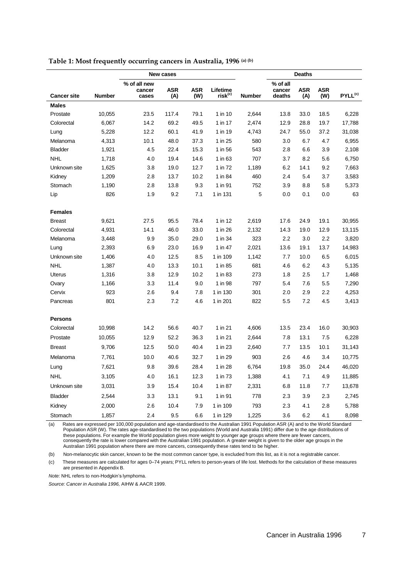|                    |               | New cases                       |                   |                   |                                 | <b>Deaths</b> |                              |                   |                   |                     |
|--------------------|---------------|---------------------------------|-------------------|-------------------|---------------------------------|---------------|------------------------------|-------------------|-------------------|---------------------|
| <b>Cancer site</b> | <b>Number</b> | % of all new<br>cancer<br>cases | <b>ASR</b><br>(A) | <b>ASR</b><br>(W) | Lifetime<br>risk <sup>(c)</sup> | <b>Number</b> | % of all<br>cancer<br>deaths | <b>ASR</b><br>(A) | <b>ASR</b><br>(W) | PYLL <sup>(c)</sup> |
| <b>Males</b>       |               |                                 |                   |                   |                                 |               |                              |                   |                   |                     |
| Prostate           | 10,055        | 23.5                            | 117.4             | 79.1              | 1 in 10                         | 2,644         | 13.8                         | 33.0              | 18.5              | 6,228               |
| Colorectal         | 6,067         | 14.2                            | 69.2              | 49.5              | 1 in 17                         | 2,474         | 12.9                         | 28.8              | 19.7              | 17,788              |
| Lung               | 5,228         | 12.2                            | 60.1              | 41.9              | 1 in 19                         | 4,743         | 24.7                         | 55.0              | 37.2              | 31,038              |
| Melanoma           | 4,313         | 10.1                            | 48.0              | 37.3              | 1 in 25                         | 580           | 3.0                          | 6.7               | 4.7               | 6,955               |
| <b>Bladder</b>     | 1,921         | 4.5                             | 22.4              | 15.3              | 1 in 56                         | 543           | 2.8                          | 6.6               | 3.9               | 2,108               |
| <b>NHL</b>         | 1,718         | 4.0                             | 19.4              | 14.6              | 1 in 63                         | 707           | 3.7                          | 8.2               | 5.6               | 6,750               |
| Unknown site       | 1,625         | 3.8                             | 19.0              | 12.7              | 1 in 72                         | 1,189         | 6.2                          | 14.1              | 9.2               | 7,663               |
| Kidney             | 1,209         | 2.8                             | 13.7              | 10.2              | 1 in 84                         | 460           | 2.4                          | 5.4               | 3.7               | 3,583               |
| Stomach            | 1,190         | 2.8                             | 13.8              | 9.3               | 1 in 91                         | 752           | 3.9                          | 8.8               | 5.8               | 5,373               |
| Lip                | 826           | 1.9                             | 9.2               | 7.1               | 1 in 131                        | 5             | 0.0                          | 0.1               | 0.0               | 63                  |
| <b>Females</b>     |               |                                 |                   |                   |                                 |               |                              |                   |                   |                     |
| <b>Breast</b>      | 9,621         | 27.5                            | 95.5              | 78.4              | 1 in 12                         | 2,619         | 17.6                         | 24.9              | 19.1              | 30,955              |
| Colorectal         | 4,931         | 14.1                            | 46.0              | 33.0              | 1 in 26                         | 2,132         | 14.3                         | 19.0              | 12.9              | 13,115              |
| Melanoma           | 3,448         | 9.9                             | 35.0              | 29.0              | 1 in 34                         | 323           | 2.2                          | 3.0               | 2.2               | 3,820               |
| Lung               | 2,393         | 6.9                             | 23.0              | 16.9              | 1 in 47                         | 2,021         | 13.6                         | 19.1              | 13.7              | 14,983              |
| Unknown site       | 1,406         | 4.0                             | 12.5              | 8.5               | 1 in 109                        | 1,142         | 7.7                          | 10.0              | 6.5               | 6,015               |
| <b>NHL</b>         | 1,387         | 4.0                             | 13.3              | 10.1              | 1 in 85                         | 681           | 4.6                          | 6.2               | 4.3               | 5,135               |
| Uterus             | 1,316         | 3.8                             | 12.9              | 10.2              | 1 in 83                         | 273           | 1.8                          | 2.5               | 1.7               | 1,468               |
| Ovary              | 1,166         | 3.3                             | 11.4              | 9.0               | 1 in 98                         | 797           | 5.4                          | 7.6               | 5.5               | 7,290               |
| Cervix             | 923           | 2.6                             | 9.4               | 7.8               | 1 in 130                        | 301           | 2.0                          | 2.9               | 2.2               | 4,253               |
| Pancreas           | 801           | 2.3                             | 7.2               | 4.6               | 1 in 201                        | 822           | 5.5                          | 7.2               | 4.5               | 3,413               |
| <b>Persons</b>     |               |                                 |                   |                   |                                 |               |                              |                   |                   |                     |
| Colorectal         | 10,998        | 14.2                            | 56.6              | 40.7              | 1 in 21                         | 4,606         | 13.5                         | 23.4              | 16.0              | 30,903              |
| Prostate           | 10,055        | 12.9                            | 52.2              | 36.3              | 1 in 21                         | 2,644         | 7.8                          | 13.1              | 7.5               | 6,228               |
| <b>Breast</b>      | 9,706         | 12.5                            | 50.0              | 40.4              | 1 in 23                         | 2,640         | 7.7                          | 13.5              | 10.1              | 31,143              |
| Melanoma           | 7,761         | 10.0                            | 40.6              | 32.7              | 1 in 29                         | 903           | 2.6                          | 4.6               | 3.4               | 10,775              |
| Lung               | 7,621         | 9.8                             | 39.6              | 28.4              | 1 in 28                         | 6,764         | 19.8                         | 35.0              | 24.4              | 46,020              |
| <b>NHL</b>         | 3,105         | 4.0                             | 16.1              | 12.3              | 1 in 73                         | 1,388         | 4.1                          | 7.1               | 4.9               | 11,885              |
| Unknown site       | 3,031         | 3.9                             | 15.4              | 10.4              | 1 in 87                         | 2,331         | 6.8                          | 11.8              | 7.7               | 13,678              |
| <b>Bladder</b>     | 2,544         | 3.3                             | 13.1              | 9.1               | 1 in 91                         | 778           | 2.3                          | 3.9               | 2.3               | 2,745               |
| Kidney             | 2,000         | 2.6                             | 10.4              | 7.9               | 1 in 109                        | 793           | 2.3                          | 4.1               | 2.8               | 5,788               |
| Stomach            | 1,857         | 2.4                             | 9.5               | 6.6               | 1 in 129                        | 1,225         | 3.6                          | 6.2               | 4.1               | 8,098               |

**Table 1: Most frequently occurring cancers in Australia, 1996 (a) (b)**

(a) Rates are expressed per 100,000 population and age-standardised to the Australian 1991 Population ASR (A) and to the World Standard Population ASR (W). The rates age-standardised to the two populations (World and Australia 1991) differ due to the age distributions of these populations. For example the World population gives more weight to younger age groups where there are fewer cancers,<br>consequently the rate is lower compared with the Australian 1991 population. A greater weight is gi

(b) Non-melanocytic skin cancer, known to be the most common cancer type, is excluded from this list, as it is not a registrable cancer.

(c) These measures are calculated for ages 0–74 years; PYLL refers to person-years of life lost. Methods for the calculation of these measures are presented in Appendix B.

*Note:* NHL refers to non-Hodgkin's lymphoma.

*Source: Cancer in Australia 1996,* AIHW & AACR 1999.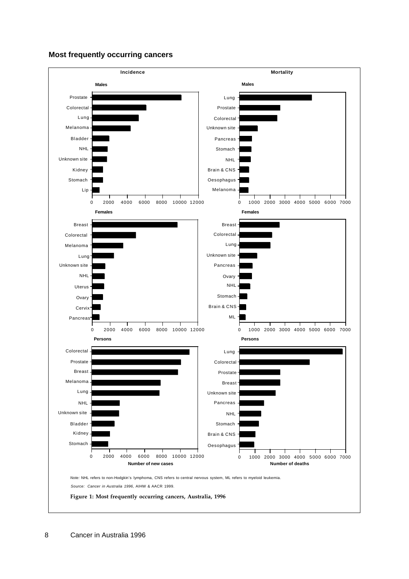### **Most frequently occurring cancers**

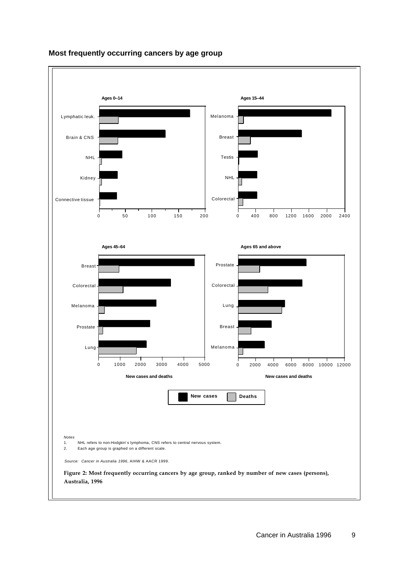

### **Most frequently occurring cancers by age group**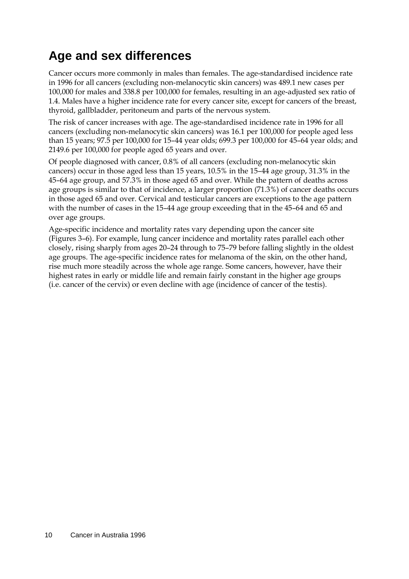## **Age and sex differences**

Cancer occurs more commonly in males than females. The age-standardised incidence rate in 1996 for all cancers (excluding non-melanocytic skin cancers) was 489.1 new cases per 100,000 for males and 338.8 per 100,000 for females, resulting in an age-adjusted sex ratio of 1.4. Males have a higher incidence rate for every cancer site, except for cancers of the breast, thyroid, gallbladder, peritoneum and parts of the nervous system.

The risk of cancer increases with age. The age-standardised incidence rate in 1996 for all cancers (excluding non-melanocytic skin cancers) was 16.1 per 100,000 for people aged less than 15 years; 97.5 per 100,000 for 15–44 year olds; 699.3 per 100,000 for 45–64 year olds; and 2149.6 per 100,000 for people aged 65 years and over.

Of people diagnosed with cancer, 0.8% of all cancers (excluding non-melanocytic skin cancers) occur in those aged less than 15 years, 10.5% in the 15–44 age group, 31.3% in the 45–64 age group, and 57.3% in those aged 65 and over. While the pattern of deaths across age groups is similar to that of incidence, a larger proportion (71.3%) of cancer deaths occurs in those aged 65 and over. Cervical and testicular cancers are exceptions to the age pattern with the number of cases in the 15–44 age group exceeding that in the 45–64 and 65 and over age groups.

Age-specific incidence and mortality rates vary depending upon the cancer site (Figures 3–6). For example, lung cancer incidence and mortality rates parallel each other closely, rising sharply from ages 20–24 through to 75–79 before falling slightly in the oldest age groups. The age-specific incidence rates for melanoma of the skin, on the other hand, rise much more steadily across the whole age range. Some cancers, however, have their highest rates in early or middle life and remain fairly constant in the higher age groups (i.e. cancer of the cervix) or even decline with age (incidence of cancer of the testis).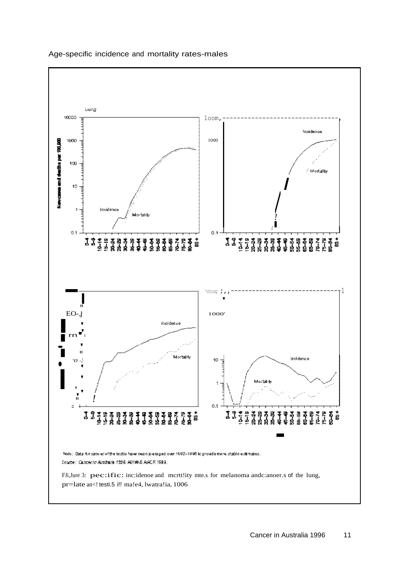

#### Age-specific incidence and mortality rates-males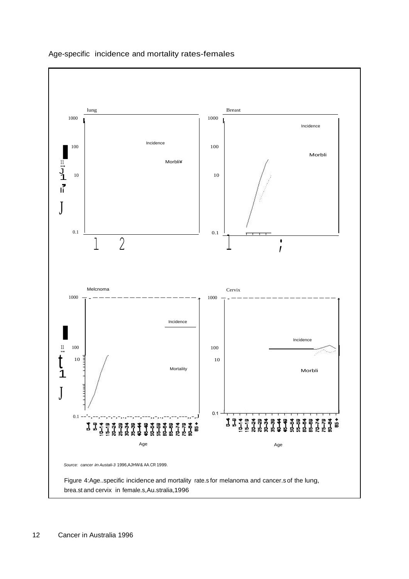

### Age-specific incidence and mortality rates-females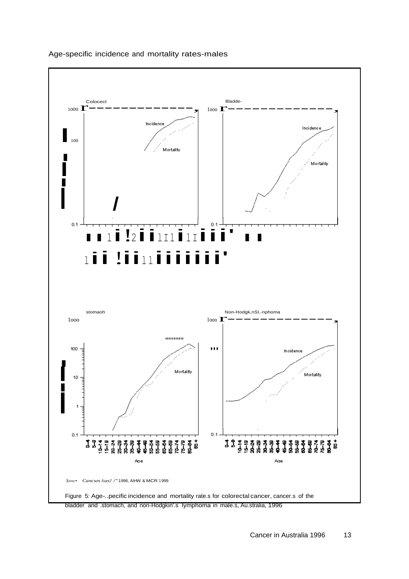

#### Age-specific incidence and mortality rates-males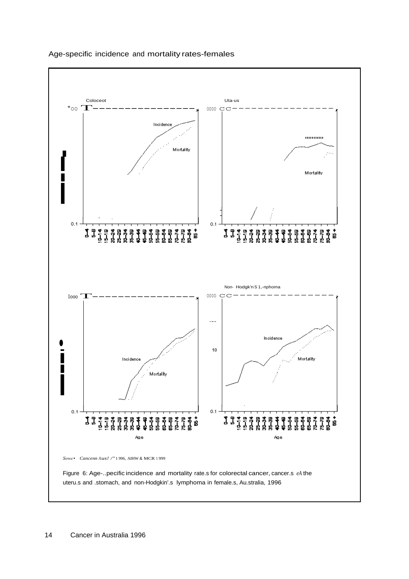

#### Age-specific incidence and mortality rates-females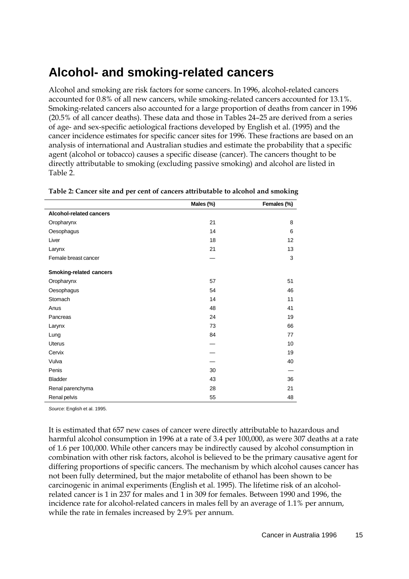### **Alcohol- and smoking-related cancers**

Alcohol and smoking are risk factors for some cancers. In 1996, alcohol-related cancers accounted for 0.8% of all new cancers, while smoking-related cancers accounted for 13.1%. Smoking-related cancers also accounted for a large proportion of deaths from cancer in 1996 (20.5% of all cancer deaths). These data and those in Tables 24–25 are derived from a series of age- and sex-specific aetiological fractions developed by English et al. (1995) and the cancer incidence estimates for specific cancer sites for 1996. These fractions are based on an analysis of international and Australian studies and estimate the probability that a specific agent (alcohol or tobacco) causes a specific disease (cancer). The cancers thought to be directly attributable to smoking (excluding passive smoking) and alcohol are listed in Table 2.

|                                | Males (%) | Females (%) |
|--------------------------------|-----------|-------------|
| Alcohol-related cancers        |           |             |
| Oropharynx                     | 21        | 8           |
| Oesophagus                     | 14        | 6           |
| Liver                          | 18        | 12          |
| Larynx                         | 21        | 13          |
| Female breast cancer           |           | 3           |
| <b>Smoking-related cancers</b> |           |             |
| Oropharynx                     | 57        | 51          |
| Oesophagus                     | 54        | 46          |
| Stomach                        | 14        | 11          |
| Anus                           | 48        | 41          |
| Pancreas                       | 24        | 19          |
| Larynx                         | 73        | 66          |
| Lung                           | 84        | 77          |
| <b>Uterus</b>                  |           | 10          |
| Cervix                         |           | 19          |
| Vulva                          |           | 40          |
| Penis                          | 30        |             |
| <b>Bladder</b>                 | 43        | 36          |
| Renal parenchyma               | 28        | 21          |
| Renal pelvis                   | 55        | 48          |

*Source:* English et al. 1995.

It is estimated that 657 new cases of cancer were directly attributable to hazardous and harmful alcohol consumption in 1996 at a rate of 3.4 per 100,000, as were 307 deaths at a rate of 1.6 per 100,000. While other cancers may be indirectly caused by alcohol consumption in combination with other risk factors, alcohol is believed to be the primary causative agent for differing proportions of specific cancers. The mechanism by which alcohol causes cancer has not been fully determined, but the major metabolite of ethanol has been shown to be carcinogenic in animal experiments (English et al. 1995). The lifetime risk of an alcoholrelated cancer is 1 in 237 for males and 1 in 309 for females. Between 1990 and 1996, the incidence rate for alcohol-related cancers in males fell by an average of 1.1% per annum, while the rate in females increased by 2.9% per annum.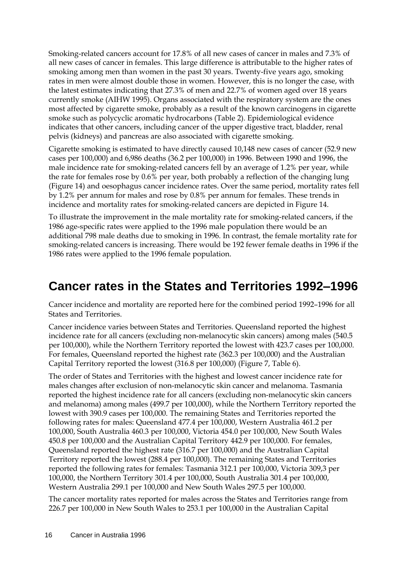Smoking-related cancers account for 17.8% of all new cases of cancer in males and 7.3% of all new cases of cancer in females. This large difference is attributable to the higher rates of smoking among men than women in the past 30 years. Twenty-five years ago, smoking rates in men were almost double those in women. However, this is no longer the case, with the latest estimates indicating that 27.3% of men and 22.7% of women aged over 18 years currently smoke (AIHW 1995). Organs associated with the respiratory system are the ones most affected by cigarette smoke, probably as a result of the known carcinogens in cigarette smoke such as polycyclic aromatic hydrocarbons (Table 2). Epidemiological evidence indicates that other cancers, including cancer of the upper digestive tract, bladder, renal pelvis (kidneys) and pancreas are also associated with cigarette smoking.

Cigarette smoking is estimated to have directly caused 10,148 new cases of cancer (52.9 new cases per 100,000) and 6,986 deaths (36.2 per 100,000) in 1996. Between 1990 and 1996, the male incidence rate for smoking-related cancers fell by an average of 1.2% per year, while the rate for females rose by 0.6% per year, both probably a reflection of the changing lung (Figure 14) and oesophagus cancer incidence rates. Over the same period, mortality rates fell by 1.2% per annum for males and rose by 0.8% per annum for females. These trends in incidence and mortality rates for smoking-related cancers are depicted in Figure 14.

To illustrate the improvement in the male mortality rate for smoking-related cancers, if the 1986 age-specific rates were applied to the 1996 male population there would be an additional 798 male deaths due to smoking in 1996. In contrast, the female mortality rate for smoking-related cancers is increasing. There would be 192 fewer female deaths in 1996 if the 1986 rates were applied to the 1996 female population.

### **Cancer rates in the States and Territories 1992–1996**

Cancer incidence and mortality are reported here for the combined period 1992–1996 for all States and Territories.

Cancer incidence varies between States and Territories. Queensland reported the highest incidence rate for all cancers (excluding non-melanocytic skin cancers) among males (540.5 per 100,000), while the Northern Territory reported the lowest with 423.7 cases per 100,000. For females, Queensland reported the highest rate (362.3 per 100,000) and the Australian Capital Territory reported the lowest (316.8 per 100,000) (Figure 7, Table 6).

The order of States and Territories with the highest and lowest cancer incidence rate for males changes after exclusion of non-melanocytic skin cancer and melanoma. Tasmania reported the highest incidence rate for all cancers (excluding non-melanocytic skin cancers and melanoma) among males (499.7 per 100,000), while the Northern Territory reported the lowest with 390.9 cases per 100,000. The remaining States and Territories reported the following rates for males: Queensland 477.4 per 100,000, Western Australia 461.2 per 100,000, South Australia 460.3 per 100,000, Victoria 454.0 per 100,000, New South Wales 450.8 per 100,000 and the Australian Capital Territory 442.9 per 100,000. For females, Queensland reported the highest rate (316.7 per 100,000) and the Australian Capital Territory reported the lowest (288.4 per 100,000). The remaining States and Territories reported the following rates for females: Tasmania 312.1 per 100,000, Victoria 309,3 per 100,000, the Northern Territory 301.4 per 100,000, South Australia 301.4 per 100,000, Western Australia 299.1 per 100,000 and New South Wales 297.5 per 100,000.

The cancer mortality rates reported for males across the States and Territories range from 226.7 per 100,000 in New South Wales to 253.1 per 100,000 in the Australian Capital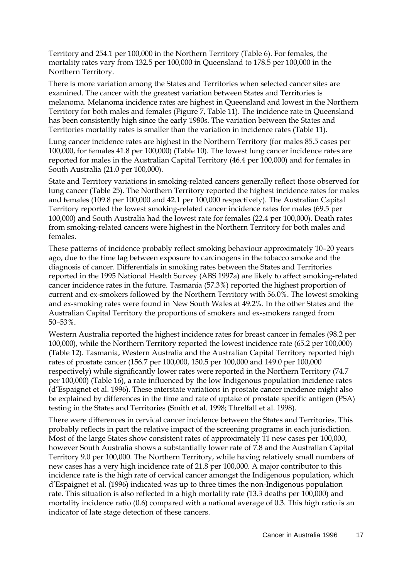Territory and 254.1 per 100,000 in the Northern Territory (Table 6). For females, the mortality rates vary from 132.5 per 100,000 in Queensland to 178.5 per 100,000 in the Northern Territory.

There is more variation among the States and Territories when selected cancer sites are examined. The cancer with the greatest variation between States and Territories is melanoma. Melanoma incidence rates are highest in Queensland and lowest in the Northern Territory for both males and females (Figure 7, Table 11). The incidence rate in Queensland has been consistently high since the early 1980s. The variation between the States and Territories mortality rates is smaller than the variation in incidence rates (Table 11).

Lung cancer incidence rates are highest in the Northern Territory (for males 85.5 cases per 100,000, for females 41.8 per 100,000) (Table 10). The lowest lung cancer incidence rates are reported for males in the Australian Capital Territory (46.4 per 100,000) and for females in South Australia (21.0 per 100,000).

State and Territory variations in smoking-related cancers generally reflect those observed for lung cancer (Table 25). The Northern Territory reported the highest incidence rates for males and females (109.8 per 100,000 and 42.1 per 100,000 respectively). The Australian Capital Territory reported the lowest smoking-related cancer incidence rates for males (69.5 per 100,000) and South Australia had the lowest rate for females (22.4 per 100,000). Death rates from smoking-related cancers were highest in the Northern Territory for both males and females.

These patterns of incidence probably reflect smoking behaviour approximately 10–20 years ago, due to the time lag between exposure to carcinogens in the tobacco smoke and the diagnosis of cancer. Differentials in smoking rates between the States and Territories reported in the 1995 National Health Survey (ABS 1997a) are likely to affect smoking-related cancer incidence rates in the future. Tasmania (57.3%) reported the highest proportion of current and ex-smokers followed by the Northern Territory with 56.0%. The lowest smoking and ex-smoking rates were found in New South Wales at 49.2%. In the other States and the Australian Capital Territory the proportions of smokers and ex-smokers ranged from 50–53%.

Western Australia reported the highest incidence rates for breast cancer in females (98.2 per 100,000), while the Northern Territory reported the lowest incidence rate (65.2 per 100,000) (Table 12). Tasmania, Western Australia and the Australian Capital Territory reported high rates of prostate cancer (156.7 per 100,000, 150.5 per 100,000 and 149.0 per 100,000 respectively) while significantly lower rates were reported in the Northern Territory (74.7 per 100,000) (Table 16), a rate influenced by the low Indigenous population incidence rates (d'Espaignet et al. 1996). These interstate variations in prostate cancer incidence might also be explained by differences in the time and rate of uptake of prostate specific antigen (PSA) testing in the States and Territories (Smith et al. 1998; Threlfall et al. 1998).

There were differences in cervical cancer incidence between the States and Territories. This probably reflects in part the relative impact of the screening programs in each jurisdiction. Most of the large States show consistent rates of approximately 11 new cases per 100,000, however South Australia shows a substantially lower rate of 7.8 and the Australian Capital Territory 9.0 per 100,000. The Northern Territory, while having relatively small numbers of new cases has a very high incidence rate of 21.8 per 100,000. A major contributor to this incidence rate is the high rate of cervical cancer amongst the Indigenous population, which d'Espaignet et al. (1996) indicated was up to three times the non-Indigenous population rate. This situation is also reflected in a high mortality rate (13.3 deaths per 100,000) and mortality incidence ratio (0.6) compared with a national average of 0.3. This high ratio is an indicator of late stage detection of these cancers.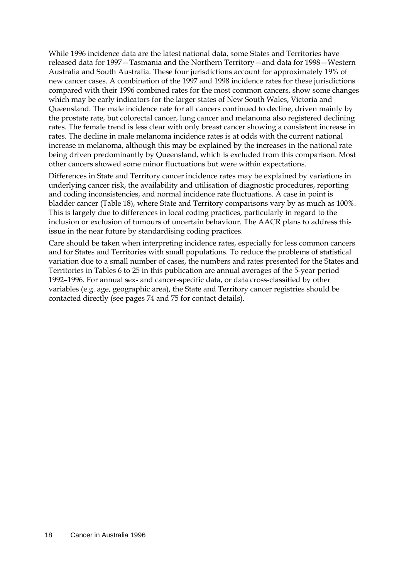While 1996 incidence data are the latest national data, some States and Territories have released data for 1997—Tasmania and the Northern Territory—and data for 1998—Western Australia and South Australia. These four jurisdictions account for approximately 19% of new cancer cases. A combination of the 1997 and 1998 incidence rates for these jurisdictions compared with their 1996 combined rates for the most common cancers, show some changes which may be early indicators for the larger states of New South Wales, Victoria and Queensland. The male incidence rate for all cancers continued to decline, driven mainly by the prostate rate, but colorectal cancer, lung cancer and melanoma also registered declining rates. The female trend is less clear with only breast cancer showing a consistent increase in rates. The decline in male melanoma incidence rates is at odds with the current national increase in melanoma, although this may be explained by the increases in the national rate being driven predominantly by Queensland, which is excluded from this comparison. Most other cancers showed some minor fluctuations but were within expectations.

Differences in State and Territory cancer incidence rates may be explained by variations in underlying cancer risk, the availability and utilisation of diagnostic procedures, reporting and coding inconsistencies, and normal incidence rate fluctuations. A case in point is bladder cancer (Table 18), where State and Territory comparisons vary by as much as 100%. This is largely due to differences in local coding practices, particularly in regard to the inclusion or exclusion of tumours of uncertain behaviour. The AACR plans to address this issue in the near future by standardising coding practices.

Care should be taken when interpreting incidence rates, especially for less common cancers and for States and Territories with small populations. To reduce the problems of statistical variation due to a small number of cases, the numbers and rates presented for the States and Territories in Tables 6 to 25 in this publication are annual averages of the 5-year period 1992–1996. For annual sex- and cancer-specific data, or data cross-classified by other variables (e.g. age, geographic area), the State and Territory cancer registries should be contacted directly (see pages 74 and 75 for contact details).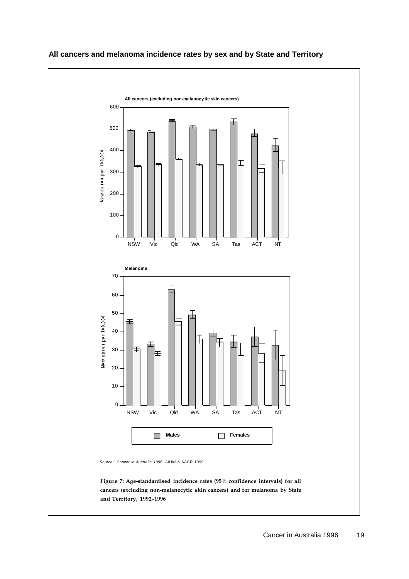

### **All cancers and melanoma incidence rates by sex and by State and Territory**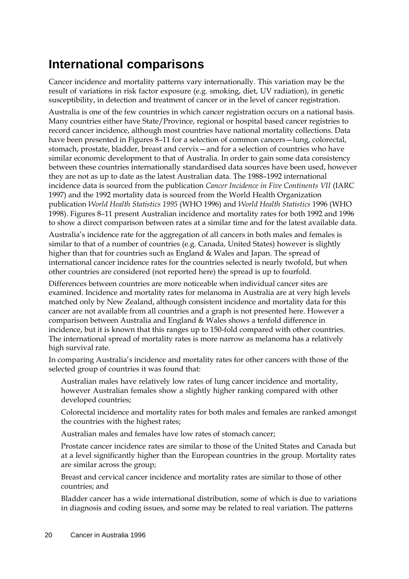### **International comparisons**

Cancer incidence and mortality patterns vary internationally. This variation may be the result of variations in risk factor exposure (e.g. smoking, diet, UV radiation), in genetic susceptibility, in detection and treatment of cancer or in the level of cancer registration.

Australia is one of the few countries in which cancer registration occurs on a national basis. Many countries either have State/Province, regional or hospital based cancer registries to record cancer incidence, although most countries have national mortality collections. Data have been presented in Figures 8–11 for a selection of common cancers—lung, colorectal, stomach, prostate, bladder, breast and cervix—and for a selection of countries who have similar economic development to that of Australia. In order to gain some data consistency between these countries internationally standardised data sources have been used, however they are not as up to date as the latest Australian data. The 1988–1992 international incidence data is sourced from the publication *Cancer Incidence in Five Continents VII* (IARC 1997) and the 1992 mortality data is sourced from the World Health Organization publication *World Health Statistics 1995* (WHO 1996) and *World Health Statistics* 1996 (WHO 1998). Figures 8–11 present Australian incidence and mortality rates for both 1992 and 1996 to show a direct comparison between rates at a similar time and for the latest available data.

Australia's incidence rate for the aggregation of all cancers in both males and females is similar to that of a number of countries (e.g. Canada, United States) however is slightly higher than that for countries such as England & Wales and Japan. The spread of international cancer incidence rates for the countries selected is nearly twofold, but when other countries are considered (not reported here) the spread is up to fourfold.

Differences between countries are more noticeable when individual cancer sites are examined. Incidence and mortality rates for melanoma in Australia are at very high levels matched only by New Zealand, although consistent incidence and mortality data for this cancer are not available from all countries and a graph is not presented here. However a comparison between Australia and England & Wales shows a tenfold difference in incidence, but it is known that this ranges up to 150-fold compared with other countries. The international spread of mortality rates is more narrow as melanoma has a relatively high survival rate.

In comparing Australia's incidence and mortality rates for other cancers with those of the selected group of countries it was found that:

Australian males have relatively low rates of lung cancer incidence and mortality, however Australian females show a slightly higher ranking compared with other developed countries;

Colorectal incidence and mortality rates for both males and females are ranked amongst the countries with the highest rates;

Australian males and females have low rates of stomach cancer;

Prostate cancer incidence rates are similar to those of the United States and Canada but at a level significantly higher than the European countries in the group. Mortality rates are similar across the group;

Breast and cervical cancer incidence and mortality rates are similar to those of other countries; and

Bladder cancer has a wide international distribution, some of which is due to variations in diagnosis and coding issues, and some may be related to real variation. The patterns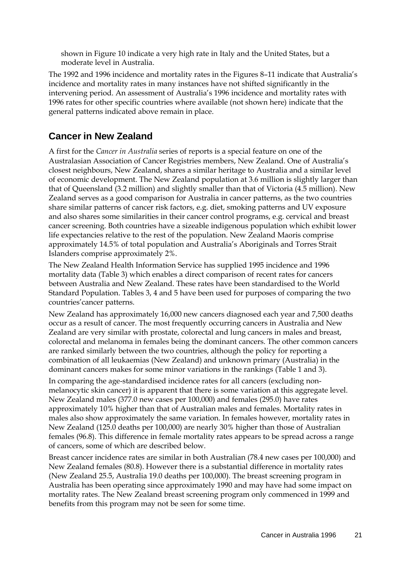shown in Figure 10 indicate a very high rate in Italy and the United States, but a moderate level in Australia.

The 1992 and 1996 incidence and mortality rates in the Figures 8–11 indicate that Australia's incidence and mortality rates in many instances have not shifted significantly in the intervening period. An assessment of Australia's 1996 incidence and mortality rates with 1996 rates for other specific countries where available (not shown here) indicate that the general patterns indicated above remain in place.

### **Cancer in New Zealand**

A first for the *Cancer in Australia* series of reports is a special feature on one of the Australasian Association of Cancer Registries members, New Zealand. One of Australia's closest neighbours, New Zealand, shares a similar heritage to Australia and a similar level of economic development. The New Zealand population at 3.6 million is slightly larger than that of Queensland (3.2 million) and slightly smaller than that of Victoria (4.5 million). New Zealand serves as a good comparison for Australia in cancer patterns, as the two countries share similar patterns of cancer risk factors, e.g. diet, smoking patterns and UV exposure and also shares some similarities in their cancer control programs, e.g. cervical and breast cancer screening. Both countries have a sizeable indigenous population which exhibit lower life expectancies relative to the rest of the population. New Zealand Maoris comprise approximately 14.5% of total population and Australia's Aboriginals and Torres Strait Islanders comprise approximately 2%.

The New Zealand Health Information Service has supplied 1995 incidence and 1996 mortality data (Table 3) which enables a direct comparison of recent rates for cancers between Australia and New Zealand. These rates have been standardised to the World Standard Population. Tables 3, 4 and 5 have been used for purposes of comparing the two countries'cancer patterns.

New Zealand has approximately 16,000 new cancers diagnosed each year and 7,500 deaths occur as a result of cancer. The most frequently occurring cancers in Australia and New Zealand are very similar with prostate, colorectal and lung cancers in males and breast, colorectal and melanoma in females being the dominant cancers. The other common cancers are ranked similarly between the two countries, although the policy for reporting a combination of all leukaemias (New Zealand) and unknown primary (Australia) in the dominant cancers makes for some minor variations in the rankings (Table 1 and 3).

In comparing the age-standardised incidence rates for all cancers (excluding nonmelanocytic skin cancer) it is apparent that there is some variation at this aggregate level. New Zealand males (377.0 new cases per 100,000) and females (295.0) have rates approximately 10% higher than that of Australian males and females. Mortality rates in males also show approximately the same variation. In females however, mortality rates in New Zealand (125.0 deaths per 100,000) are nearly 30% higher than those of Australian females (96.8). This difference in female mortality rates appears to be spread across a range of cancers, some of which are described below.

Breast cancer incidence rates are similar in both Australian (78.4 new cases per 100,000) and New Zealand females (80.8). However there is a substantial difference in mortality rates (New Zealand 25.5, Australia 19.0 deaths per 100,000). The breast screening program in Australia has been operating since approximately 1990 and may have had some impact on mortality rates. The New Zealand breast screening program only commenced in 1999 and benefits from this program may not be seen for some time.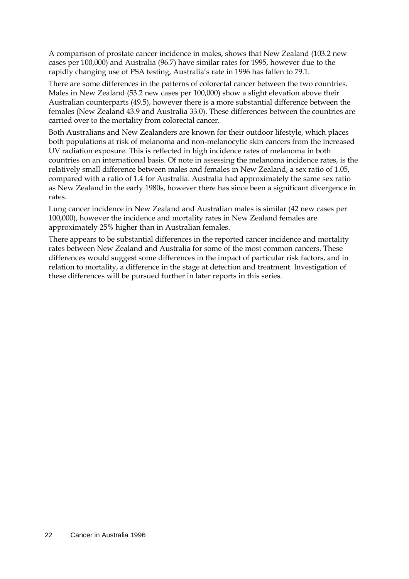A comparison of prostate cancer incidence in males, shows that New Zealand (103.2 new cases per 100,000) and Australia (96.7) have similar rates for 1995, however due to the rapidly changing use of PSA testing, Australia's rate in 1996 has fallen to 79.1.

There are some differences in the patterns of colorectal cancer between the two countries. Males in New Zealand (53.2 new cases per 100,000) show a slight elevation above their Australian counterparts (49.5), however there is a more substantial difference between the females (New Zealand 43.9 and Australia 33.0). These differences between the countries are carried over to the mortality from colorectal cancer.

Both Australians and New Zealanders are known for their outdoor lifestyle, which places both populations at risk of melanoma and non-melanocytic skin cancers from the increased UV radiation exposure. This is reflected in high incidence rates of melanoma in both countries on an international basis. Of note in assessing the melanoma incidence rates, is the relatively small difference between males and females in New Zealand, a sex ratio of 1.05, compared with a ratio of 1.4 for Australia. Australia had approximately the same sex ratio as New Zealand in the early 1980s, however there has since been a significant divergence in rates.

Lung cancer incidence in New Zealand and Australian males is similar (42 new cases per 100,000), however the incidence and mortality rates in New Zealand females are approximately 25% higher than in Australian females.

There appears to be substantial differences in the reported cancer incidence and mortality rates between New Zealand and Australia for some of the most common cancers. These differences would suggest some differences in the impact of particular risk factors, and in relation to mortality, a difference in the stage at detection and treatment. Investigation of these differences will be pursued further in later reports in this series.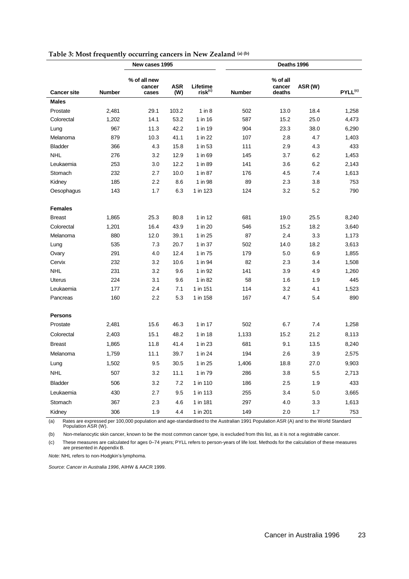|                    |               | New cases 1995                  |                   |                                 | Deaths 1996   |                              |         |                     |  |
|--------------------|---------------|---------------------------------|-------------------|---------------------------------|---------------|------------------------------|---------|---------------------|--|
| <b>Cancer site</b> | <b>Number</b> | % of all new<br>cancer<br>cases | <b>ASR</b><br>(W) | Lifetime<br>risk <sup>(c)</sup> | <b>Number</b> | % of all<br>cancer<br>deaths | ASR (W) | PYLL <sup>(c)</sup> |  |
| <b>Males</b>       |               |                                 |                   |                                 |               |                              |         |                     |  |
| Prostate           | 2,481         | 29.1                            | 103.2             | $1$ in $8$                      | 502           | 13.0                         | 18.4    | 1,258               |  |
| Colorectal         | 1,202         | 14.1                            | 53.2              | 1 in 16                         | 587           | 15.2                         | 25.0    | 4,473               |  |
| Lung               | 967           | 11.3                            | 42.2              | 1 in 19                         | 904           | 23.3                         | 38.0    | 6,290               |  |
| Melanoma           | 879           | 10.3                            | 41.1              | 1 in 22                         | 107           | 2.8                          | 4.7     | 1,403               |  |
| <b>Bladder</b>     | 366           | 4.3                             | 15.8              | 1 in 53                         | 111           | 2.9                          | 4.3     | 433                 |  |
| <b>NHL</b>         | 276           | 3.2                             | 12.9              | 1 in 69                         | 145           | 3.7                          | 6.2     | 1,453               |  |
| Leukaemia          | 253           | 3.0                             | 12.2              | 1 in 89                         | 141           | 3.6                          | 6.2     | 2,143               |  |
| Stomach            | 232           | 2.7                             | 10.0              | 1 in 87                         | 176           | 4.5                          | 7.4     | 1,613               |  |
| Kidney             | 185           | 2.2                             | 8.6               | 1 in 98                         | 89            | 2.3                          | 3.8     | 753                 |  |
| Oesophagus         | 143           | 1.7                             | 6.3               | 1 in 123                        | 124           | 3.2                          | 5.2     | 790                 |  |
| <b>Females</b>     |               |                                 |                   |                                 |               |                              |         |                     |  |
| <b>Breast</b>      | 1,865         | 25.3                            | 80.8              | 1 in 12                         | 681           | 19.0                         | 25.5    | 8,240               |  |
| Colorectal         | 1,201         | 16.4                            | 43.9              | 1 in 20                         | 546           | 15.2                         | 18.2    | 3,640               |  |
| Melanoma           | 880           | 12.0                            | 39.1              | 1 in 25                         | 87            | 2.4                          | 3.3     | 1,173               |  |
| Lung               | 535           | 7.3                             | 20.7              | 1 in 37                         | 502           | 14.0                         | 18.2    | 3,613               |  |
| Ovary              | 291           | 4.0                             | 12.4              | 1 in 75                         | 179           | 5.0                          | 6.9     | 1,855               |  |
| Cervix             | 232           | 3.2                             | 10.6              | 1 in 94                         | 82            | 2.3                          | 3.4     | 1,508               |  |
| <b>NHL</b>         | 231           | 3.2                             | 9.6               | 1 in 92                         | 141           | 3.9                          | 4.9     | 1,260               |  |
| <b>Uterus</b>      | 224           | 3.1                             | 9.6               | 1 in 82                         | 58            | 1.6                          | 1.9     | 445                 |  |
| Leukaemia          | 177           | 2.4                             | 7.1               | 1 in 151                        | 114           | 3.2                          | 4.1     | 1,523               |  |
| Pancreas           | 160           | 2.2                             | 5.3               | 1 in 158                        | 167           | 4.7                          | 5.4     | 890                 |  |
| <b>Persons</b>     |               |                                 |                   |                                 |               |                              |         |                     |  |
| Prostate           | 2,481         | 15.6                            | 46.3              | 1 in 17                         | 502           | 6.7                          | 7.4     | 1,258               |  |
| Colorectal         | 2,403         | 15.1                            | 48.2              | 1 in 18                         | 1,133         | 15.2                         | 21.2    | 8,113               |  |
| <b>Breast</b>      | 1,865         | 11.8                            | 41.4              | 1 in 23                         | 681           | 9.1                          | 13.5    | 8,240               |  |
| Melanoma           | 1,759         | 11.1                            | 39.7              | 1 in 24                         | 194           | 2.6                          | 3.9     | 2,575               |  |
| Lung               | 1,502         | 9.5                             | 30.5              | 1 in 25                         | 1,406         | 18.8                         | 27.0    | 9,903               |  |
| <b>NHL</b>         | 507           | 3.2                             | 11.1              | 1 in 79                         | 286           | 3.8                          | 5.5     | 2,713               |  |
| <b>Bladder</b>     | 506           | 3.2                             | 7.2               | 1 in 110                        | 186           | 2.5                          | 1.9     | 433                 |  |
| Leukaemia          | 430           | 2.7                             | 9.5               | 1 in 113                        | 255           | 3.4                          | 5.0     | 3,665               |  |
| Stomach            | 367           | 2.3                             | 4.6               | 1 in 181                        | 297           | 4.0                          | 3.3     | 1,613               |  |
| Kidney             | 306           | 1.9                             | 4.4               | 1 in 201                        | 149           | 2.0                          | 1.7     | 753                 |  |

### **Table 3: Most frequently occurring cancers in New Zealand (a) (b)**

(a) Rates are expressed per 100,000 population and age-standardised to the Australian 1991 Population ASR (A) and to the World Standard Population ASR (W).

(b) Non-melanocytic skin cancer, known to be the most common cancer type, is excluded from this list, as it is not a registrable cancer.

(c) These measures are calculated for ages 0–74 years; PYLL refers to person-years of life lost. Methods for the calculation of these measures are presented in Appendix B.

*Note:* NHL refers to non-Hodgkin's lymphoma.

*Source: Cancer in Australia 1996*, AIHW & AACR 1999.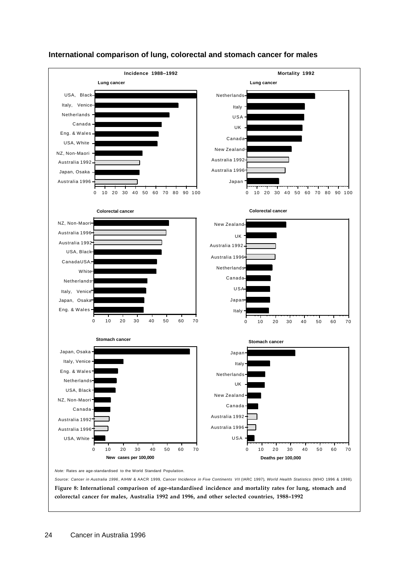

### **International comparison of lung, colorectal and stomach cancer for males**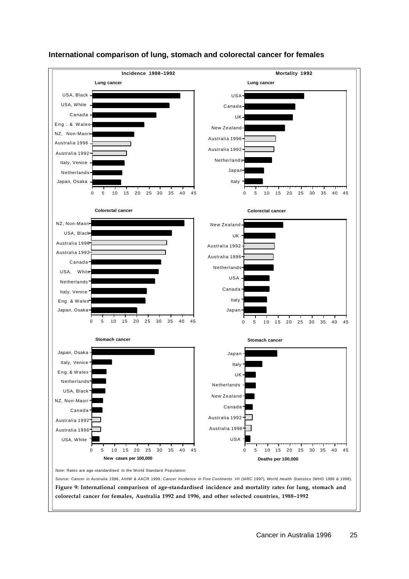

### **International comparison of lung, stomach and colorectal cancer for females**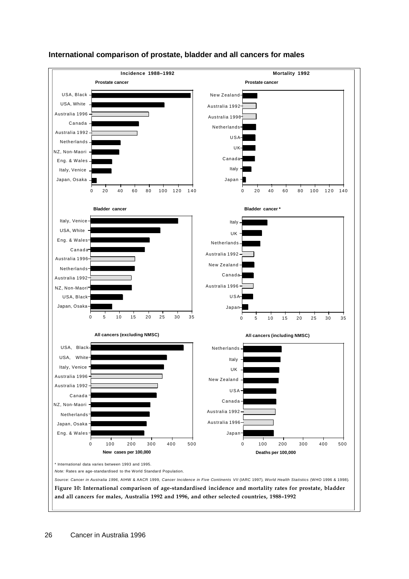

#### **International comparison of prostate, bladder and all cancers for males**